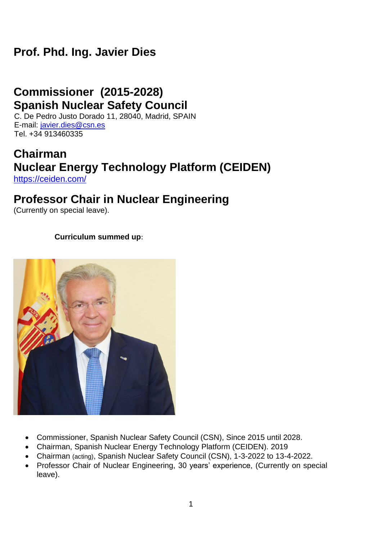# **Prof. Phd. Ing. Javier Dies**

# **Commissioner (2015-2028) Spanish Nuclear Safety Council**

C. De Pedro Justo Dorado 11, 28040, Madrid, SPAIN E-mail: [javier.dies@csn.es](mailto:javier.dies@csn.es) Tel. +34 913460335

#### **Chairman Nuclear Energy Technology Platform (CEIDEN)** <https://ceiden.com/>

## **Professor Chair in Nuclear Engineering**

(Currently on special leave).

#### **Curriculum summed up**:



- Commissioner, Spanish Nuclear Safety Council (CSN), Since 2015 until 2028.
- Chairman, Spanish Nuclear Energy Technology Platform (CEIDEN). 2019
- Chairman (acting), Spanish Nuclear Safety Council (CSN), 1-3-2022 to 13-4-2022.
- Professor Chair of Nuclear Engineering, 30 years' experience, (Currently on special leave).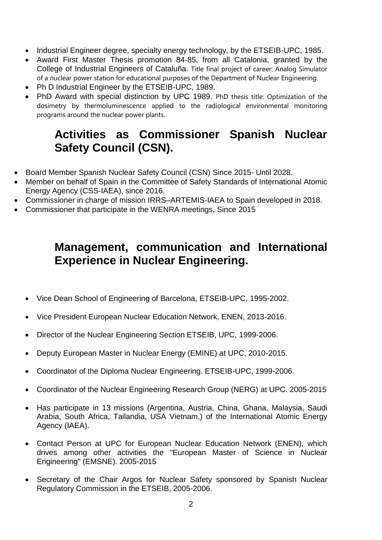- Industrial Engineer degree, specialty energy technology, by the ETSEIB-UPC, 1985.
- Award First Master Thesis promotion 84-85, from all Catalonia, granted by the College of Industrial Engineers of Cataluña. Title final project of career: Analog Simulator of a nuclear power station for educational purposes of the Department of Nuclear Engineering.
- Ph D Industrial Engineer by the ETSEIB-UPC, 1989.
- PhD Award with special distinction by UPC 1989. PhD thesis title: Optimization of the dosimetry by thermoluminescence applied to the radiological environmental monitoring programs around the nuclear power plants.

# **Activities as Commissioner Spanish Nuclear Safety Council (CSN).**

- Board Member Spanish Nuclear Safety Council (CSN) Since 2015- Until 2028.
- Member on behalf of Spain in the Committee of Safety Standards of International Atomic Energy Agency (CSS-IAEA), since 2016.
- Commissioner in charge of mission IRRS–ARTEMIS-IAEA to Spain developed in 2018.
- Commissioner that participate in the WENRA meetings, Since 2015

# **Management, communication and International Experience in Nuclear Engineering.**

- Vice Dean School of Engineering of Barcelona, ETSEIB-UPC, 1995-2002.
- Vice President European Nuclear Education Network, ENEN, 2013-2016.
- Director of the Nuclear Engineering Section ETSEIB, UPC, 1999-2006.
- Deputy European Master in Nuclear Energy (EMINE) at UPC, 2010-2015.
- Coordinator of the Diploma Nuclear Engineering. ETSEIB-UPC, 1999-2006.
- Coordinator of the Nuclear Engineering Research Group (NERG) at UPC. 2005-2015
- Has participate in 13 missions (Argentina, Austria, China, Ghana, Malaysia, Saudi Arabia, South Africa, Tailandia, USA Vietnam,) of the International Atomic Energy Agency (IAEA).
- Contact Person at UPC for European Nuclear Education Network (ENEN), which drives among other activities the "European Master of Science in Nuclear Engineering" (EMSNE). 2005-2015
- Secretary of the Chair Argos for Nuclear Safety sponsored by Spanish Nuclear Regulatory Commission in the ETSEIB, 2005-2006.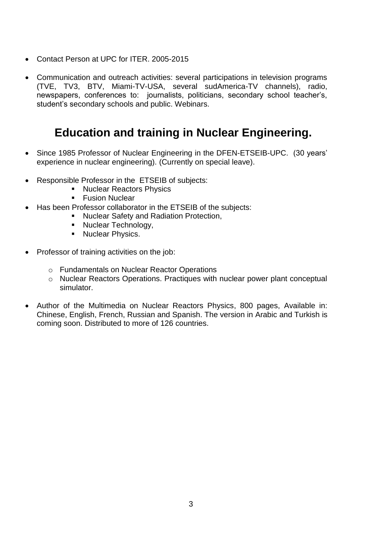- Contact Person at UPC for ITER. 2005-2015
- Communication and outreach activities: several participations in television programs (TVE, TV3, BTV, Miami-TV-USA, several sudAmerica-TV channels), radio, newspapers, conferences to: journalists, politicians, secondary school teacher's, student's secondary schools and public. Webinars.

## **Education and training in Nuclear Engineering.**

- Since 1985 Professor of Nuclear Engineering in the DFEN-ETSEIB-UPC. (30 years' experience in nuclear engineering). (Currently on special leave).
- Responsible Professor in the ETSEIB of subjects:
	- **Nuclear Reactors Physics**
	- **Fusion Nuclear**
- Has been Professor collaborator in the ETSEIB of the subjects:
	- **Nuclear Safety and Radiation Protection,**
	- Nuclear Technology,
	- **Nuclear Physics.**
- Professor of training activities on the job:
	- o Fundamentals on Nuclear Reactor Operations
	- o Nuclear Reactors Operations. Practiques with nuclear power plant conceptual simulator.
- Author of the Multimedia on Nuclear Reactors Physics, 800 pages, Available in: Chinese, English, French, Russian and Spanish. The version in Arabic and Turkish is coming soon. Distributed to more of 126 countries.